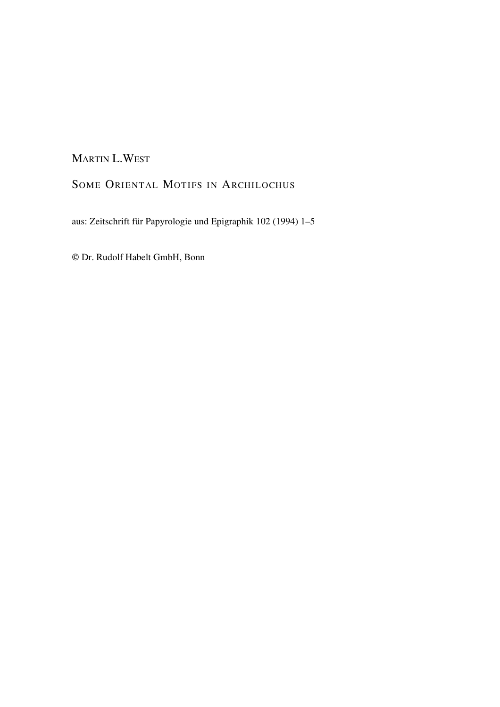# MARTIN L.WEST

# SOME ORIENTAL MOTIFS IN ARCHILOCHUS

aus: Zeitschrift für Papyrologie und Epigraphik 102 (1994) 1–5

© Dr. Rudolf Habelt GmbH, Bonn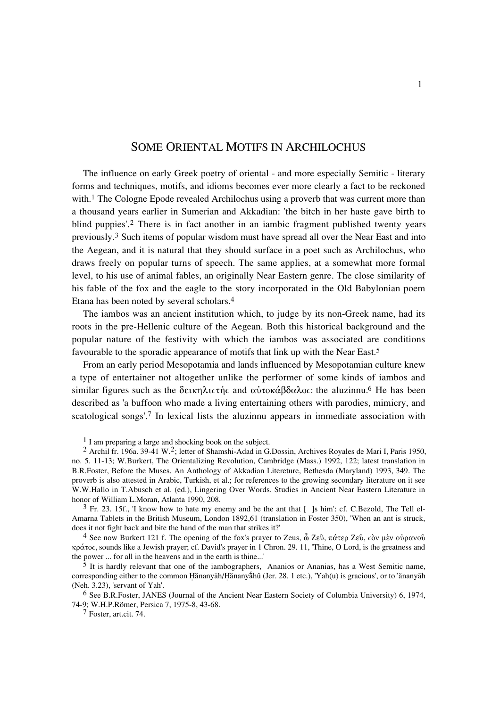## SOME ORIENTAL MOTIFS IN ARCHILOCHUS

The influence on early Greek poetry of oriental - and more especially Semitic - literary forms and techniques, motifs, and idioms becomes ever more clearly a fact to be reckoned with.<sup>1</sup> The Cologne Epode revealed Archilochus using a proverb that was current more than a thousand years earlier in Sumerian and Akkadian: 'the bitch in her haste gave birth to blind puppies'.2 There is in fact another in an iambic fragment published twenty years previously.3 Such items of popular wisdom must have spread all over the Near East and into the Aegean, and it is natural that they should surface in a poet such as Archilochus, who draws freely on popular turns of speech. The same applies, at a somewhat more formal level, to his use of animal fables, an originally Near Eastern genre. The close similarity of his fable of the fox and the eagle to the story incorporated in the Old Babylonian poem Etana has been noted by several scholars.4

The iambos was an ancient institution which, to judge by its non-Greek name, had its roots in the pre-Hellenic culture of the Aegean. Both this historical background and the popular nature of the festivity with which the iambos was associated are conditions favourable to the sporadic appearance of motifs that link up with the Near East.5

From an early period Mesopotamia and lands influenced by Mesopotamian culture knew a type of entertainer not altogether unlike the performer of some kinds of iambos and similar figures such as the  $\delta$ εικηλιστής and αὐτοκάβδαλος: the aluzinnu.<sup>6</sup> He has been described as 'a buffoon who made a living entertaining others with parodies, mimicry, and scatological songs'.7 In lexical lists the aluzinnu appears in immediate association with

<sup>1</sup> I am preparing a large and shocking book on the subject.

<sup>&</sup>lt;sup>2</sup> Archil fr. 196a. 39-41 W.<sup>2</sup>; letter of Shamshi-Adad in G.Dossin, Archives Royales de Mari I, Paris 1950, no. 5. 11-13; W.Burkert, The Orientalizing Revolution, Cambridge (Mass.) 1992, 122; latest translation in B.R.Foster, Before the Muses. An Anthology of Akkadian Litereture, Bethesda (Maryland) 1993, 349. The proverb is also attested in Arabic, Turkish, et al.; for references to the growing secondary literature on it see W.W.Hallo in T.Abusch et al. (ed.), Lingering Over Words. Studies in Ancient Near Eastern Literature in honor of William L.Moran, Atlanta 1990, 208.

<sup>&</sup>lt;sup>3</sup> Fr. 23. 15f., 'I know how to hate my enemy and be the ant that  $\lceil \cdot \rceil$  is him': cf. C.Bezold, The Tell el-Amarna Tablets in the British Museum, London 1892,61 (translation in Foster 350), 'When an ant is struck, does it not fight back and bite the hand of the man that strikes it?'

<sup>&</sup>lt;sup>4</sup> See now Burkert 121 f. The opening of the fox's prayer to Zeus,  $\hat{\omega}$  Ζεῦ, πάτερ Ζεῦ, còv μὲν οὐρανοῦ  $\kappa \rho \acute{\alpha} \tau$  sounds like a Jewish prayer; cf. David's prayer in 1 Chron. 29. 11, 'Thine, O Lord, is the greatness and the power ... for all in the heavens and in the earth is thine...'

It is hardly relevant that one of the iambographers, Ananios or Ananias, has a West Semitic name, corresponding either to the common Hănanyāh/Hănanyáhû (Jer. 28. 1 etc.), 'Yah(u) is gracious', or to 'ănanyāh (Neh. 3.23), 'servant of Yah'.

<sup>6</sup> See B.R.Foster, JANES (Journal of the Ancient Near Eastern Society of Columbia University) 6, 1974, 74-9; W.H.P.Römer, Persica 7, 1975-8, 43-68.

<sup>7</sup> Foster, art.cit. 74.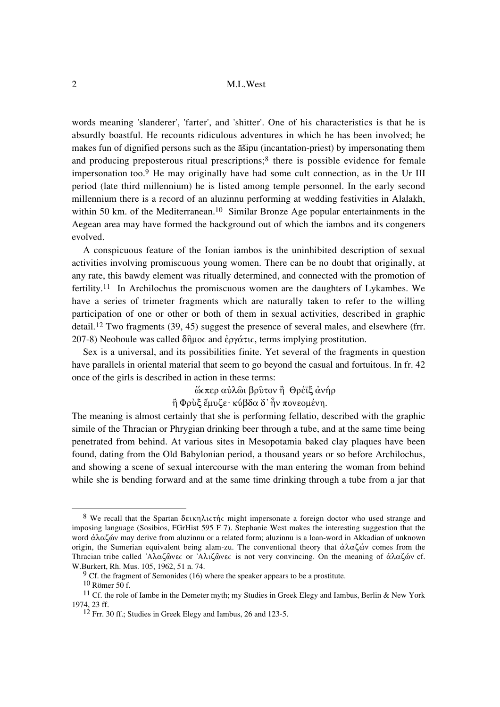#### M.L.West

words meaning 'slanderer', 'farter', and 'shitter'. One of his characteristics is that he is absurdly boastful. He recounts ridiculous adventures in which he has been involved; he makes fun of dignified persons such as the assipu (incantation-priest) by impersonating them and producing preposterous ritual prescriptions;<sup>8</sup> there is possible evidence for female impersonation too.<sup>9</sup> He may originally have had some cult connection, as in the Ur III period (late third millennium) he is listed among temple personnel. In the early second millennium there is a record of an aluzinnu performing at wedding festivities in Alalakh, within 50 km, of the Mediterranean.<sup>10</sup> Similar Bronze Age popular entertainments in the Aegean area may have formed the background out of which the iambos and its congeners evolved.

A conspicuous feature of the Ionian iambos is the uninhibited description of sexual activities involving promiscuous young women. There can be no doubt that originally, at any rate, this bawdy element was ritually determined, and connected with the promotion of fertility.<sup>11</sup> In Archilochus the promiscuous women are the daughters of Lykambes. We have a series of trimeter fragments which are naturally taken to refer to the willing participation of one or other or both of them in sexual activities, described in graphic detail.<sup>12</sup> Two fragments  $(39, 45)$  suggest the presence of several males, and elsewhere (frr. 207-8) Neoboule was called δήμος and έργάτις, terms implying prostitution.

Sex is a universal, and its possibilities finite. Yet several of the fragments in question have parallels in oriental material that seem to go beyond the casual and fortuitous. In fr. 42 once of the girls is described in action in these terms:

ώσπερ αύλωι βρύτον ή Θρέϊξ άνήρ

 $\hat{\rho}$  Φουξ έμυζε· κύβδα δ' προνερμένη.

The meaning is almost certainly that she is performing fellatio, described with the graphic simile of the Thracian or Phrygian drinking beer through a tube, and at the same time being penetrated from behind. At various sites in Mesopotamia baked clay plaques have been found, dating from the Old Babylonian period, a thousand years or so before Archilochus, and showing a scene of sexual intercourse with the man entering the woman from behind while she is bending forward and at the same time drinking through a tube from a jar that

<sup>&</sup>lt;sup>8</sup> We recall that the Spartan δεικηλιστής might impersonate a foreign doctor who used strange and imposing language (Sosibios, FGrHist 595 F 7). Stephanie West makes the interesting suggestion that the word άλαζών may derive from aluzinnu or a related form; aluzinnu is a loan-word in Akkadian of unknown origin, the Sumerian equivalent being alam-zu. The conventional theory that  $\dot{\alpha}\lambda\alpha\zeta\dot{\alpha}$  comes from the Thracian tribe called 'Aλαζῶνες or 'Aλιζῶνες is not very convincing. On the meaning of άλαζών cf. W.Burkert, Rh. Mus. 105, 1962, 51 n. 74.

 $9$  Cf, the fragment of Semonides (16) where the speaker appears to be a prostitute.

 $10$  Römer 50 f.

<sup>&</sup>lt;sup>11</sup> Cf, the role of Iambe in the Demeter myth: my Studies in Greek Elegy and Iambus, Berlin & New York 1974, 23 ff.

<sup>&</sup>lt;sup>12</sup> Frr. 30 ff.; Studies in Greek Elegy and Iambus, 26 and 123-5.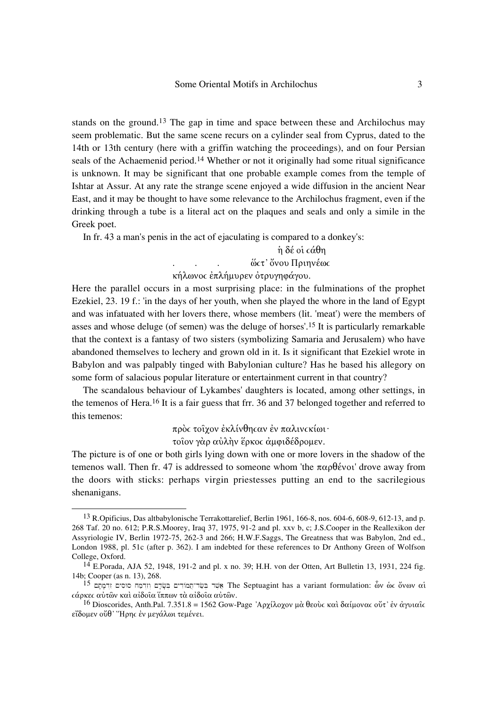stands on the ground.<sup>13</sup> The gap in time and space between these and Archilochus may seem problematic. But the same scene recurs on a cylinder seal from Cyprus, dated to the 14th or 13th century (here with a griffin watching the proceedings), and on four Persian seals of the Achaemenid period.<sup>14</sup> Whether or not it originally had some ritual significance is unknown. It may be significant that one probable example comes from the temple of Ishtar at Assur. At any rate the strange scene enjoyed a wide diffusion in the ancient Near East, and it may be thought to have some relevance to the Archilochus fragment, even if the drinking through a tube is a literal act on the plaques and seals and only a simile in the Greek poet.

In fr. 43 a man's penis in the act of ejaculating is compared to a donkey's:

# $η$  δέ οι  $\alpha$ θη

ώςτ' ὄνου Πριηνέως in 19

### κήλωνος επλήμυρεν ότρυγηφάγου.

Here the parallel occurs in a most surprising place: in the fulminations of the prophet Ezekiel, 23. 19 f.: 'in the days of her youth, when she played the whore in the land of Egypt and was infatuated with her lovers there, whose members (lit. 'meat') were the members of asses and whose deluge (of semen) was the deluge of horses'.<sup>15</sup> It is particularly remarkable that the context is a fantasy of two sisters (symbolizing Samaria and Jerusalem) who have abandoned themselves to lechery and grown old in it. Is it significant that Ezekiel wrote in Babylon and was palpably tinged with Babylonian culture? Has he based his allegory on some form of salacious popular literature or entertainment current in that country?

The scandalous behaviour of Lykambes' daughters is located, among other settings, in the temenos of Hera.<sup>16</sup> It is a fair guess that frr. 36 and 37 belonged together and referred to this temenos:

πρός τοΐγον έκλίνθης αν έν παλινς κίωι·

τοΐον γάρ αύλην έρκος άμφιδέδρομεν.

The picture is of one or both girls lying down with one or more lovers in the shadow of the temenos wall. Then fr. 47 is addressed to someone whom 'the  $\pi \alpha \rho \theta$  given away from the doors with sticks: perhaps virgin priestesses putting an end to the sacrilegious shenanigans.

 $13$  R. Opificius, Das altbabylonische Terrakottarelief, Berlin 1961, 166-8, nos. 604-6, 608-9, 612-13, and p. 268 Taf. 20 no. 612; P.R.S.Moorey, Iraq 37, 1975, 91-2 and pl. xxv b, c; J.S.Cooper in the Reallexikon der Assyriologie IV, Berlin 1972-75, 262-3 and 266; H.W.F.Saggs, The Greatness that was Babylon, 2nd ed., London 1988, pl. 51c (after p. 362). I am indebted for these references to Dr Anthony Green of Wolfson College, Oxford.

 $^{14}$  E.Porada, AJA 52, 1948, 191-2 and pl. x no. 39; H.H. von der Otten, Art Bulletin 13, 1931, 224 fig. 14b; Cooper (as n. 13), 268.

 $^{15}$  פּשׁר־תֲמוֹדִים בִּשָּׂרָם וְזִרְמַח סוּסִים זִרְמְתָם The Septuagint has a variant formulation: ων ως ον ον αί *εάρκες αύτων και αίδοια ίππων τα αίδοια αύτων.* 

<sup>&</sup>lt;sup>16</sup> Dioscorides, Anth.Pal. 7.351.8 = 1562 Gow-Page 'Αρχίλοχον μα θεούς και δαίμονας ούτ' έν άγυιαις εΐδομεν ούθ' Ήρης έν μεγάλωι τεμένει.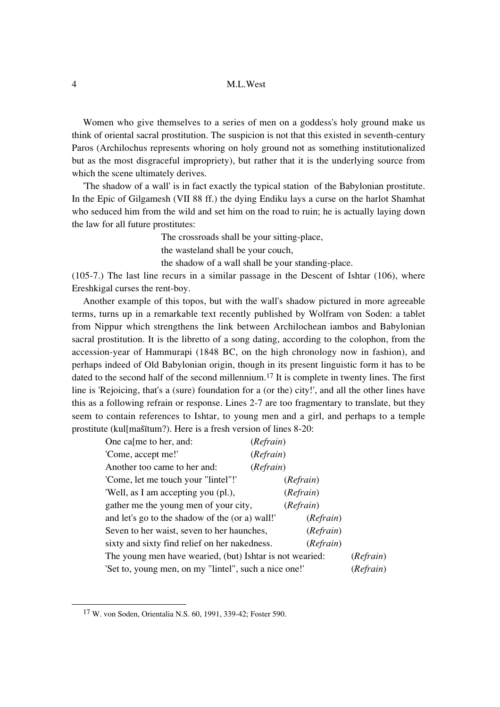### 4 M.L.West

Women who give themselves to a series of men on a goddess's holy ground make us think of oriental sacral prostitution. The suspicion is not that this existed in seventh-century Paros (Archilochus represents whoring on holy ground not as something institutionalized but as the most disgraceful impropriety), but rather that it is the underlying source from which the scene ultimately derives.

'The shadow of a wall' is in fact exactly the typical station of the Babylonian prostitute. In the Epic of Gilgamesh (VII 88 ff.) the dying Endiku lays a curse on the harlot Shamhat who seduced him from the wild and set him on the road to ruin; he is actually laying down the law for all future prostitutes:

The crossroads shall be your sitting-place,

the wasteland shall be your couch,

the shadow of a wall shall be your standing-place.

(105-7.) The last line recurs in a similar passage in the Descent of Ishtar (106), where Ereshkigal curses the rent-boy.

Another example of this topos, but with the wall's shadow pictured in more agreeable terms, turns up in a remarkable text recently published by Wolfram von Soden: a tablet from Nippur which strengthens the link between Archilochean iambos and Babylonian sacral prostitution. It is the libretto of a song dating, according to the colophon, from the accession-year of Hammurapi (1848 BC, on the high chronology now in fashion), and perhaps indeed of Old Babylonian origin, though in its present linguistic form it has to be dated to the second half of the second millennium.<sup>17</sup> It is complete in twenty lines. The first line is 'Rejoicing, that's a (sure) foundation for a (or the) city!', and all the other lines have this as a following refrain or response. Lines 2-7 are too fragmentary to translate, but they seem to contain references to Ishtar, to young men and a girl, and perhaps to a temple prostitute (kul[mašitum?). Here is a fresh version of lines 8-20:

| One ca <sub>[me to her, and:</sub>                                    | (Refrain) |
|-----------------------------------------------------------------------|-----------|
| 'Come, accept me!'                                                    | (Refrain) |
| Another too came to her and:                                          | (Refrain) |
| 'Come, let me touch your "lintel"!'                                   | (Refrain) |
| 'Well, as I am accepting you (pl.),                                   | (Refrain) |
| gather me the young men of your city,                                 | (Refrain) |
| and let's go to the shadow of the (or a) wall!                        | (Refrain) |
| Seven to her waist, seven to her haunches,                            | (Refrain) |
| sixty and sixty find relief on her nakedness.                         | (Refrain) |
| The young men have wearied, (but) Ishtar is not wearied:<br>(Refrain) |           |
| 'Set to, young men, on my "lintel", such a nice one!'<br>(Refrain)    |           |

<sup>17</sup> W. von Soden, Orientalia N.S. 60, 1991, 339-42; Foster 590.